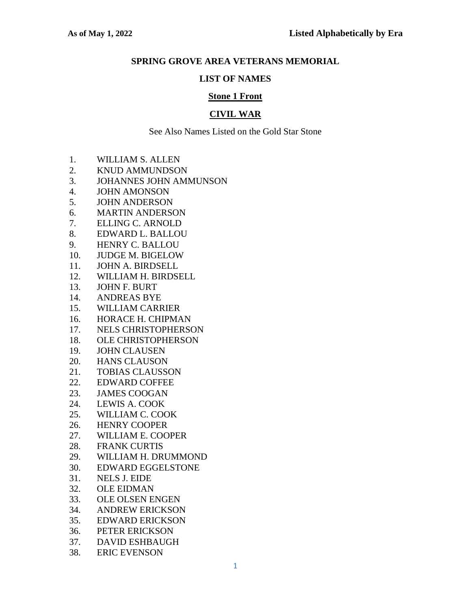### **SPRING GROVE AREA VETERANS MEMORIAL**

#### **LIST OF NAMES**

### **Stone 1 Front**

## **CIVIL WAR**

- 1. WILLIAM S. ALLEN
- 2. KNUD AMMUNDSON
- 3. JOHANNES JOHN AMMUNSON
- 4. JOHN AMONSON
- 5. JOHN ANDERSON
- 6. MARTIN ANDERSON
- 7. ELLING C. ARNOLD
- 8. EDWARD L. BALLOU
- 9. HENRY C. BALLOU
- 10. JUDGE M. BIGELOW
- 11. JOHN A. BIRDSELL
- 12. WILLIAM H. BIRDSELL
- 13. JOHN F. BURT
- 14. ANDREAS BYE
- 15. WILLIAM CARRIER
- 16. HORACE H. CHIPMAN
- 17. NELS CHRISTOPHERSON
- 18. OLE CHRISTOPHERSON
- 19. JOHN CLAUSEN
- 20. HANS CLAUSON
- 21. TOBIAS CLAUSSON
- 22. EDWARD COFFEE
- 23. JAMES COOGAN
- 24. LEWIS A. COOK
- 25. WILLIAM C. COOK
- 26. HENRY COOPER
- 27. WILLIAM E. COOPER
- 28. FRANK CURTIS
- 29. WILLIAM H. DRUMMOND
- 30. EDWARD EGGELSTONE
- 31. NELS J. EIDE
- 32. OLE EIDMAN
- 33. OLE OLSEN ENGEN
- 34. ANDREW ERICKSON
- 35. EDWARD ERICKSON
- 36. PETER ERICKSON
- 37. DAVID ESHBAUGH
- 38. ERIC EVENSON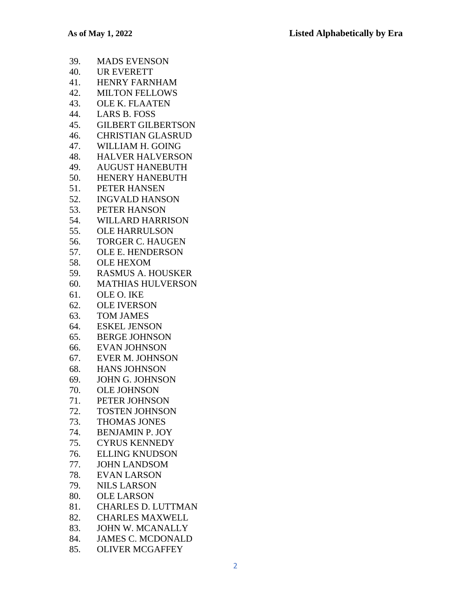- 39. MADS EVENSON
- 40. UR EVERETT
- 41. HENRY FARNHAM
- 42. MILTON FELLOWS
- 43. OLE K. FLAATEN
- 44. LARS B. FOSS
- 45. GILBERT GILBERTSON
- 46. CHRISTIAN GLASRUD
- 47. WILLIAM H. GOING
- 48. HALVER HALVERSON
- 49. AUGUST HANEBUTH
- 50. HENERY HANEBUTH
- 51. PETER HANSEN
- 52. INGVALD HANSON
- 53. PETER HANSON
- 54. WILLARD HARRISON
- 55. OLE HARRULSON
- 56. TORGER C. HAUGEN
- 57. OLE E. HENDERSON
- 58. OLE HEXOM
- 59. RASMUS A. HOUSKER
- 60. MATHIAS HULVERSON
- 61. OLE O. IKE
- 62. OLE IVERSON
- 63. TOM JAMES
- 64. ESKEL JENSON
- 65. BERGE JOHNSON
- 66. EVAN JOHNSON
- 67. EVER M. JOHNSON
- 68. HANS JOHNSON
- 69. JOHN G. JOHNSON
- 70. OLE JOHNSON
- 71. PETER JOHNSON
- 72. TOSTEN JOHNSON
- 73. THOMAS JONES
- 74. BENJAMIN P. JOY
- 75. CYRUS KENNEDY
- 76. ELLING KNUDSON
- 77. JOHN LANDSOM
- 78. EVAN LARSON
- 79. NILS LARSON
- 80. OLE LARSON
- 81. CHARLES D. LUTTMAN
- 82. CHARLES MAXWELL
- 83. JOHN W. MCANALLY
- 84. JAMES C. MCDONALD
- 85. OLIVER MCGAFFEY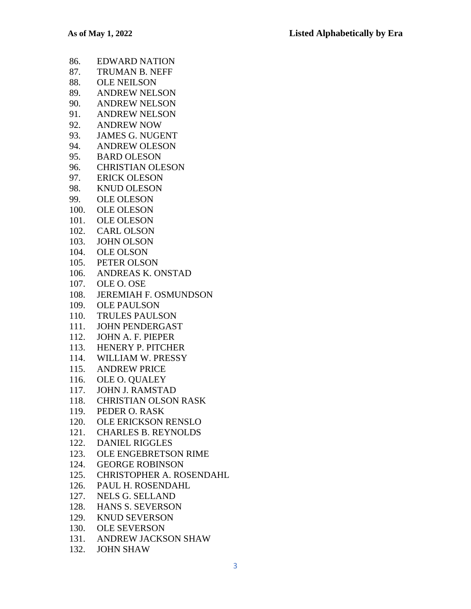| 86.  | <b>EDWARD NATION</b>          |
|------|-------------------------------|
|      | 87. TRUMAN B. NEFF            |
| 88.  | <b>OLE NEILSON</b>            |
|      | 89. ANDREW NELSON             |
|      | 90. ANDREW NELSON             |
| 91.  | <b>ANDREW NELSON</b>          |
|      | 92. ANDREW NOW                |
|      | 93. JAMES G. NUGENT           |
|      | 94. ANDREW OLESON             |
|      | 95. BARD OLESON               |
|      | 96. CHRISTIAN OLESON          |
|      | 97. ERICK OLESON              |
| 98.  | <b>KNUD OLESON</b>            |
|      | 99. OLE OLESON                |
|      | 100. OLE OLESON               |
|      | 101. OLE OLESON               |
|      | 102. CARL OLSON               |
|      | 103. JOHN OLSON               |
|      | 104. OLE OLSON                |
|      | 105. PETER OLSON              |
|      | 106. ANDREAS K. ONSTAD        |
|      | 107. OLE O. OSE               |
|      | 108. JEREMIAH F. OSMUNDSON    |
|      | 109. OLE PAULSON              |
|      | 110. TRULES PAULSON           |
|      | 111. JOHN PENDERGAST          |
|      | 112. JOHN A. F. PIEPER        |
|      | 113. HENERY P. PITCHER        |
|      | 114. WILLIAM W. PRESSY        |
|      | 115. ANDREW PRICE             |
|      | 116. OLE O. QUALEY            |
|      | 117. JOHN J. RAMSTAD          |
|      | 118. CHRISTIAN OLSON RASK     |
|      | 119. PEDER O. RASK            |
|      | 120. OLE ERICKSON RENSLO      |
| 121. | <b>CHARLES B. REYNOLDS</b>    |
|      | 122. DANIEL RIGGLES           |
|      | 123. OLE ENGEBRETSON RIME     |
|      | 124. GEORGE ROBINSON          |
|      | 125. CHRISTOPHER A. ROSENDAHL |
|      | 126. PAUL H. ROSENDAHL        |
|      | 127. NELS G. SELLAND          |
|      | 128. HANS S. SEVERSON         |
|      | 129. KNUD SEVERSON            |
|      | 130. OLE SEVERSON             |
|      | 131. ANDREW JACKSON SHAW      |

132. JOHN SHAW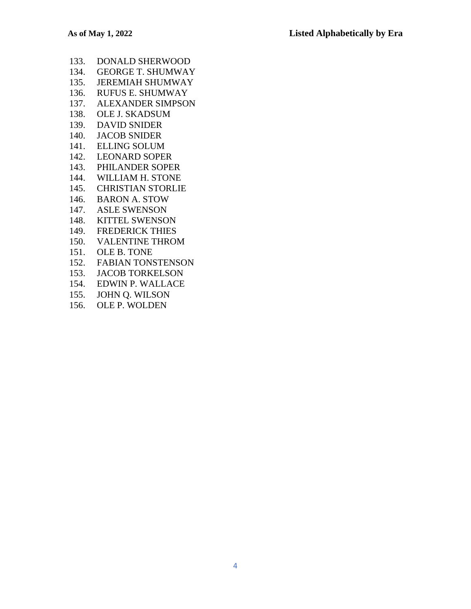- 133. DONALD SHERWOOD
- 134. GEORGE T. SHUMWAY
- 135. JEREMIAH SHUMWAY
- 136. RUFUS E. SHUMWAY
- 137. ALEXANDER SIMPSON
- 138. OLE J. SKADSUM
- 139. DAVID SNIDER
- 140. JACOB SNIDER
- 141. ELLING SOLUM
- 142. LEONARD SOPER
- 143. PHILANDER SOPER
- 144. WILLIAM H. STONE
- 145. CHRISTIAN STORLIE
- 146. BARON A. STOW
- 147. ASLE SWENSON
- 148. KITTEL SWENSON
- 149. FREDERICK THIES
- 150. VALENTINE THROM
- 151. OLE B. TONE
- 152. FABIAN TONSTENSON
- 153. JACOB TORKELSON
- 154. EDWIN P. WALLACE
- 155. JOHN Q. WILSON
- 156. OLE P. WOLDEN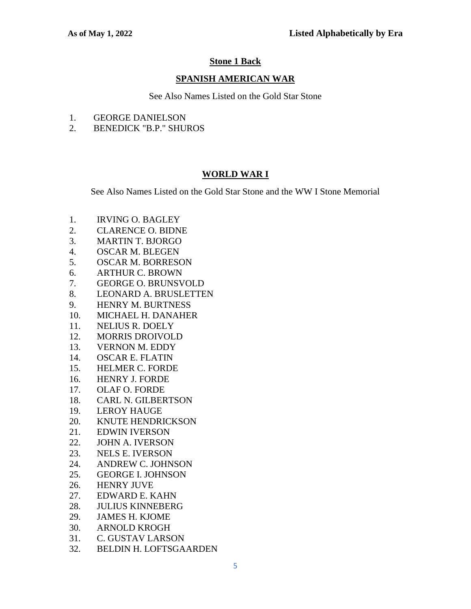# **Stone 1 Back**

### **SPANISH AMERICAN WAR**

See Also Names Listed on the Gold Star Stone

- 1. GEORGE DANIELSON
- 2. BENEDICK "B.P." SHUROS

# **WORLD WAR I**

See Also Names Listed on the Gold Star Stone and the WW I Stone Memorial

- 1. IRVING O. BAGLEY
- 2. CLARENCE O. BIDNE
- 3. MARTIN T. BJORGO
- 4. OSCAR M. BLEGEN
- 5. OSCAR M. BORRESON
- 6. ARTHUR C. BROWN
- 7. GEORGE O. BRUNSVOLD
- 8. LEONARD A. BRUSLETTEN
- 9. HENRY M. BURTNESS
- 10. MICHAEL H. DANAHER
- 11. NELIUS R. DOELY
- 12. MORRIS DROIVOLD
- 13. VERNON M. EDDY
- 14. OSCAR E. FLATIN
- 15. HELMER C. FORDE
- 16. HENRY J. FORDE
- 17. OLAF O. FORDE
- 18. CARL N. GILBERTSON
- 19. LEROY HAUGE
- 20. KNUTE HENDRICKSON
- 21. EDWIN IVERSON
- 22. JOHN A. IVERSON
- 23. NELS E. IVERSON
- 24. ANDREW C. JOHNSON
- 25. GEORGE I. JOHNSON
- 26. HENRY JUVE
- 27. EDWARD E. KAHN
- 28. JULIUS KINNEBERG
- 29. JAMES H. KJOME
- 30. ARNOLD KROGH
- 31. C. GUSTAV LARSON
- 32. BELDIN H. LOFTSGAARDEN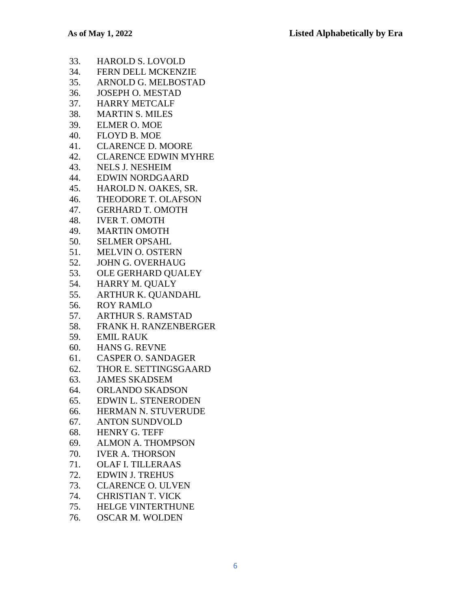- 33. HAROLD S. LOVOLD
- 34. FERN DELL MCKENZIE
- 35. ARNOLD G. MELBOSTAD
- 36. JOSEPH O. MESTAD
- 37. HARRY METCALF
- 38. MARTIN S. MILES
- 39. ELMER O. MOE
- 40. FLOYD B. MOE
- 41. CLARENCE D. MOORE
- 42. CLARENCE EDWIN MYHRE
- 43. NELS J. NESHEIM
- 44. EDWIN NORDGAARD
- 45. HAROLD N. OAKES, SR.
- 46. THEODORE T. OLAFSON
- 47. GERHARD T. OMOTH
- 48. IVER T. OMOTH
- 49. MARTIN OMOTH
- 50. SELMER OPSAHL
- 51. MELVIN O. OSTERN
- 52. JOHN G. OVERHAUG
- 53. OLE GERHARD QUALEY
- 54. HARRY M. QUALY
- 55. ARTHUR K. QUANDAHL
- 56. ROY RAMLO
- 57. ARTHUR S. RAMSTAD
- 58. FRANK H. RANZENBERGER
- 59. EMIL RAUK
- 60. HANS G. REVNE
- 61. CASPER O. SANDAGER
- 62. THOR E. SETTINGSGAARD
- 63. JAMES SKADSEM
- 64. ORLANDO SKADSON
- 65. EDWIN L. STENERODEN
- 66. HERMAN N. STUVERUDE
- 67. ANTON SUNDVOLD
- 68. HENRY G. TEFF
- 69. ALMON A. THOMPSON
- 70. IVER A. THORSON
- 71. OLAF I. TILLERAAS
- 72. EDWIN J. TREHUS
- 73. CLARENCE O. ULVEN
- 74. CHRISTIAN T. VICK
- 75. HELGE VINTERTHUNE
- 76. OSCAR M. WOLDEN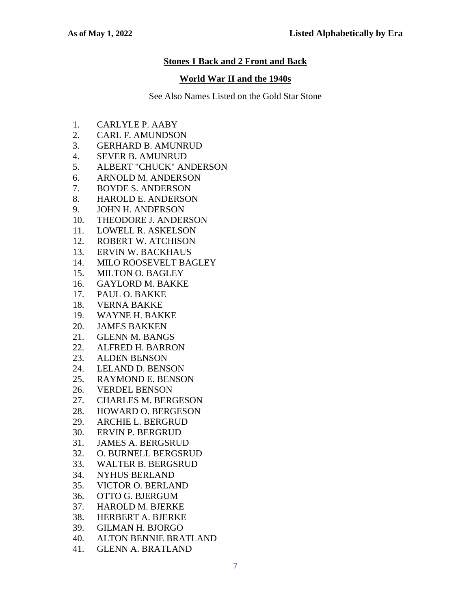### **Stones 1 Back and 2 Front and Back**

#### **World War II and the 1940s**

- 1. CARLYLE P. AABY
- 2. CARL F. AMUNDSON
- 3. GERHARD B. AMUNRUD
- 4. SEVER B. AMUNRUD
- 5. ALBERT "CHUCK" ANDERSON
- 6. ARNOLD M. ANDERSON
- 7. BOYDE S. ANDERSON
- 8. HAROLD E. ANDERSON
- 9. JOHN H. ANDERSON
- 10. THEODORE J. ANDERSON
- 11. LOWELL R. ASKELSON
- 12. ROBERT W. ATCHISON
- 13. ERVIN W. BACKHAUS
- 14. MILO ROOSEVELT BAGLEY
- 15. MILTON O. BAGLEY
- 16. GAYLORD M. BAKKE
- 17. PAUL O. BAKKE
- 18. VERNA BAKKE
- 19. WAYNE H. BAKKE
- 20. JAMES BAKKEN
- 21. GLENN M. BANGS
- 22. ALFRED H. BARRON
- 23. ALDEN BENSON
- 24. LELAND D. BENSON
- 25. RAYMOND E. BENSON
- 26. VERDEL BENSON
- 27. CHARLES M. BERGESON
- 28. HOWARD O. BERGESON
- 29. ARCHIE L. BERGRUD
- 30. ERVIN P. BERGRUD
- 31. JAMES A. BERGSRUD
- 32. O. BURNELL BERGSRUD
- 33. WALTER B. BERGSRUD
- 34. NYHUS BERLAND
- 35. VICTOR O. BERLAND
- 36. OTTO G. BJERGUM
- 37. HAROLD M. BJERKE
- 38. HERBERT A. BJERKE
- 39. GILMAN H. BJORGO
- 40. ALTON BENNIE BRATLAND
- 41. GLENN A. BRATLAND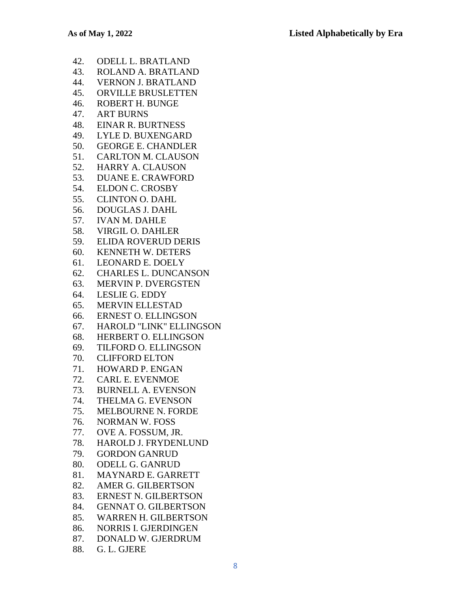- 42. ODELL L. BRATLAND
- 43. ROLAND A. BRATLAND
- 44. VERNON J. BRATLAND
- 45. ORVILLE BRUSLETTEN
- 46. ROBERT H. BUNGE
- 47. ART BURNS
- 48. EINAR R. BURTNESS
- 49. LYLE D. BUXENGARD
- 50. GEORGE E. CHANDLER
- 51. CARLTON M. CLAUSON
- 52. HARRY A. CLAUSON
- 53. DUANE E. CRAWFORD
- 54. ELDON C. CROSBY
- 55. CLINTON O. DAHL
- 56. DOUGLAS J. DAHL
- 57. IVAN M. DAHLE
- 58. VIRGIL O. DAHLER
- 59. ELIDA ROVERUD DERIS
- 60. KENNETH W. DETERS
- 61. LEONARD E. DOELY
- 62. CHARLES L. DUNCANSON
- 63. MERVIN P. DVERGSTEN
- 64. LESLIE G. EDDY
- 65. MERVIN ELLESTAD
- 66. ERNEST O. ELLINGSON
- 67. HAROLD "LINK" ELLINGSON
- 68. HERBERT O. ELLINGSON
- 69. TILFORD O. ELLINGSON
- 70. CLIFFORD ELTON
- 71. HOWARD P. ENGAN
- 72. CARL E. EVENMOE
- 73. BURNELL A. EVENSON
- 74. THELMA G. EVENSON
- 75. MELBOURNE N. FORDE
- 76. NORMAN W. FOSS
- 77. OVE A. FOSSUM, JR.
- 78. HAROLD J. FRYDENLUND
- 79. GORDON GANRUD
- 80. ODELL G. GANRUD
- 81. MAYNARD E. GARRETT
- 82. AMER G. GILBERTSON
- 83. ERNEST N. GILBERTSON
- 84. GENNAT O. GILBERTSON
- 85. WARREN H. GILBERTSON
- 86. NORRIS I. GJERDINGEN
- 87. DONALD W. GJERDRUM
- 88. G. L. GJERE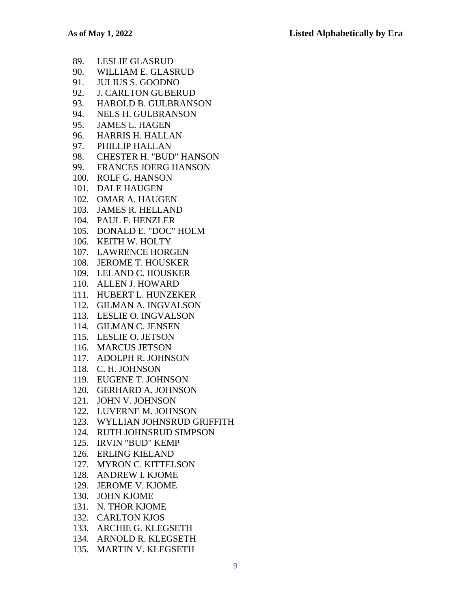|      | 89. LESLIE GLASRUD             |
|------|--------------------------------|
|      | 90. WILLIAM E. GLASRUD         |
| 91.  | <b>JULIUS S. GOODNO</b>        |
|      | 92. J. CARLTON GUBERUD         |
|      | 93. HAROLD B. GULBRANSON       |
|      | 94. NELS H. GULBRANSON         |
|      | 95. JAMES L. HAGEN             |
|      | 96. HARRIS H. HALLAN           |
| 97.  | PHILLIP HALLAN                 |
|      | 98. CHESTER H. "BUD" HANSON    |
|      | 99. FRANCES JOERG HANSON       |
|      | 100. ROLF G. HANSON            |
|      | 101. DALE HAUGEN               |
|      | 102. OMAR A. HAUGEN            |
|      | 103. JAMES R. HELLAND          |
|      | 104. PAUL F. HENZLER           |
|      | 105. DONALD E. "DOC" HOLM      |
|      | 106. KEITH W. HOLTY            |
|      | 107. LAWRENCE HORGEN           |
|      | 108. JEROME T. HOUSKER         |
|      | 109. LELAND C. HOUSKER         |
|      | 110. ALLEN J. HOWARD           |
|      | 111. HUBERT L. HUNZEKER        |
|      | 112. GILMAN A. INGVALSON       |
|      | 113. LESLIE O. INGVALSON       |
|      | 114. GILMAN C. JENSEN          |
|      | 115. LESLIE O. JETSON          |
|      | 116. MARCUS JETSON             |
|      | 117. ADOLPH R. JOHNSON         |
|      | 118. C. H. JOHNSON             |
|      | 119. EUGENE T. JOHNSON         |
|      | 120. GERHARD A. JOHNSON        |
| 121. | JOHN V. JOHNSON                |
|      | 122. LUVERNE M. JOHNSON        |
|      | 123. WYLLIAN JOHNSRUD GRIFFITH |
| 124. | <b>RUTH JOHNSRUD SIMPSON</b>   |
| 125. | <b>IRVIN "BUD" KEMP</b>        |
| 126. | <b>ERLING KIELAND</b>          |
| 127. | <b>MYRON C. KITTELSON</b>      |
| 128. | <b>ANDREW I. KJOME</b>         |
| 129. | <b>JEROME V. KJOME</b>         |
|      | 130. JOHN KJOME                |
| 131. | N. THOR KJOME                  |
|      | 132. CARLTON KJOS              |
|      | 133. ARCHIE G. KLEGSETH        |
|      | 134. ARNOLD R. KLEGSETH        |

135. MARTIN V. KLEGSETH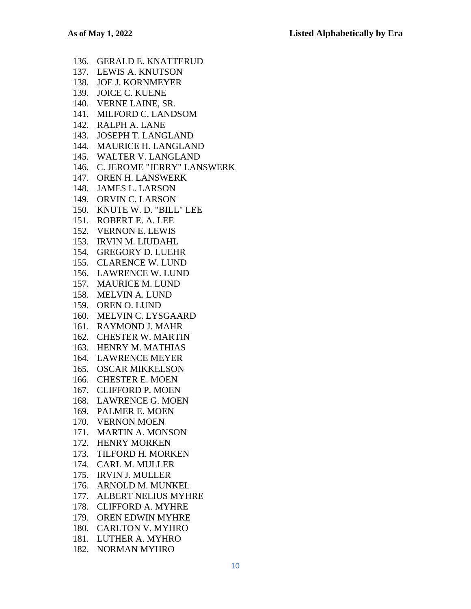136. GERALD E. KNATTERUD 137. LEWIS A. KNUTSON 138. JOE J. KORNMEYER 139. JOICE C. KUENE 140. VERNE LAINE, SR. 141. MILFORD C. LANDSOM 142. RALPH A. LANE 143. JOSEPH T. LANGLAND 144. MAURICE H. LANGLAND 145. WALTER V. LANGLAND 146. C. JEROME "JERRY" LANSWERK 147. OREN H. LANSWERK 148. JAMES L. LARSON 149. ORVIN C. LARSON 150. KNUTE W. D. "BILL" LEE 151. ROBERT E. A. LEE 152. VERNON E. LEWIS 153. IRVIN M. LIUDAHL 154. GREGORY D. LUEHR 155. CLARENCE W. LUND 156. LAWRENCE W. LUND 157. MAURICE M. LUND 158. MELVIN A. LUND 159. OREN O. LUND 160. MELVIN C. LYSGAARD 161. RAYMOND J. MAHR 162. CHESTER W. MARTIN 163. HENRY M. MATHIAS 164. LAWRENCE MEYER 165. OSCAR MIKKELSON 166. CHESTER E. MOEN 167. CLIFFORD P. MOEN 168. LAWRENCE G. MOEN 169. PALMER E. MOEN 170. VERNON MOEN 171. MARTIN A. MONSON 172. HENRY MORKEN 173. TILFORD H. MORKEN 174. CARL M. MULLER 175. IRVIN J. MULLER 176. ARNOLD M. MUNKEL 177. ALBERT NELIUS MYHRE 178. CLIFFORD A. MYHRE 179. OREN EDWIN MYHRE 180. CARLTON V. MYHRO 181. LUTHER A. MYHRO 182. NORMAN MYHRO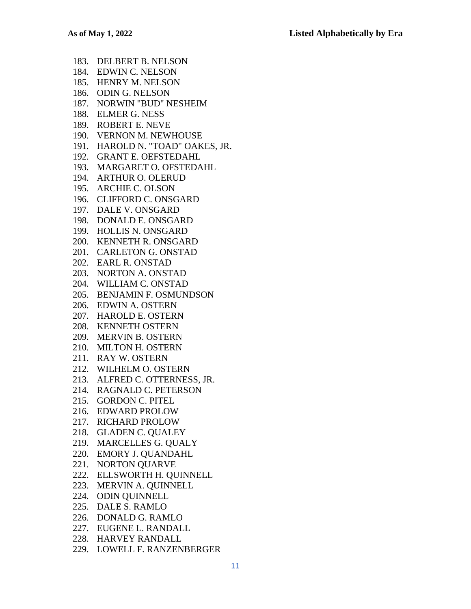183. DELBERT B. NELSON 184. EDWIN C. NELSON 185. HENRY M. NELSON 186. ODIN G. NELSON 187. NORWIN "BUD" NESHEIM 188. ELMER G. NESS 189. ROBERT E. NEVE 190. VERNON M. NEWHOUSE 191. HAROLD N. "TOAD" OAKES, JR. 192. GRANT E. OEFSTEDAHL 193. MARGARET O. OFSTEDAHL 194. ARTHUR O. OLERUD 195. ARCHIE C. OLSON 196. CLIFFORD C. ONSGARD 197. DALE V. ONSGARD 198. DONALD E. ONSGARD 199. HOLLIS N. ONSGARD 200. KENNETH R. ONSGARD 201. CARLETON G. ONSTAD 202. EARL R. ONSTAD 203. NORTON A. ONSTAD 204. WILLIAM C. ONSTAD 205. BENJAMIN F. OSMUNDSON 206. EDWIN A. OSTERN 207. HAROLD E. OSTERN 208. KENNETH OSTERN 209. MERVIN B. OSTERN 210. MILTON H. OSTERN 211. RAY W. OSTERN 212. WILHELM O. OSTERN 213. ALFRED C. OTTERNESS, JR. 214. RAGNALD C. PETERSON 215. GORDON C. PITEL 216. EDWARD PROLOW 217. RICHARD PROLOW 218. GLADEN C. QUALEY 219. MARCELLES G. QUALY 220. EMORY J. QUANDAHL 221. NORTON QUARVE 222. ELLSWORTH H. QUINNELL 223. MERVIN A. QUINNELL 224. ODIN QUINNELL 225. DALE S. RAMLO 226. DONALD G. RAMLO 227. EUGENE L. RANDALL 228. HARVEY RANDALL

229. LOWELL F. RANZENBERGER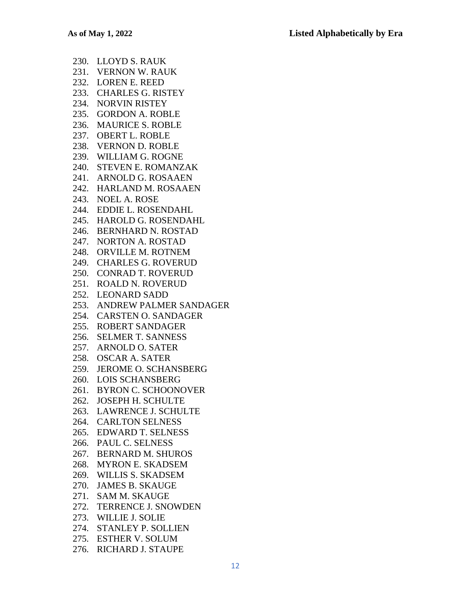230. LLOYD S. RAUK 231. VERNON W. RAUK 232. LOREN E. REED 233. CHARLES G. RISTEY 234. NORVIN RISTEY 235. GORDON A. ROBLE 236. MAURICE S. ROBLE 237. OBERT L. ROBLE 238. VERNON D. ROBLE 239. WILLIAM G. ROGNE 240. STEVEN E. ROMANZAK 241. ARNOLD G. ROSAAEN 242. HARLAND M. ROSAAEN 243. NOEL A. ROSE 244. EDDIE L. ROSENDAHL 245. HAROLD G. ROSENDAHL 246. BERNHARD N. ROSTAD 247. NORTON A. ROSTAD 248. ORVILLE M. ROTNEM 249. CHARLES G. ROVERUD 250. CONRAD T. ROVERUD 251. ROALD N. ROVERUD 252. LEONARD SADD 253. ANDREW PALMER SANDAGER 254. CARSTEN O. SANDAGER 255. ROBERT SANDAGER 256. SELMER T. SANNESS 257. ARNOLD O. SATER 258. OSCAR A. SATER 259. JEROME O. SCHANSBERG 260. LOIS SCHANSBERG 261. BYRON C. SCHOONOVER 262. JOSEPH H. SCHULTE 263. LAWRENCE J. SCHULTE 264. CARLTON SELNESS 265. EDWARD T. SELNESS 266. PAUL C. SELNESS 267. BERNARD M. SHUROS 268. MYRON E. SKADSEM 269. WILLIS S. SKADSEM 270. JAMES B. SKAUGE 271. SAM M. SKAUGE 272. TERRENCE J. SNOWDEN 273. WILLIE J. SOLIE 274. STANLEY P. SOLLIEN 275. ESTHER V. SOLUM 276. RICHARD J. STAUPE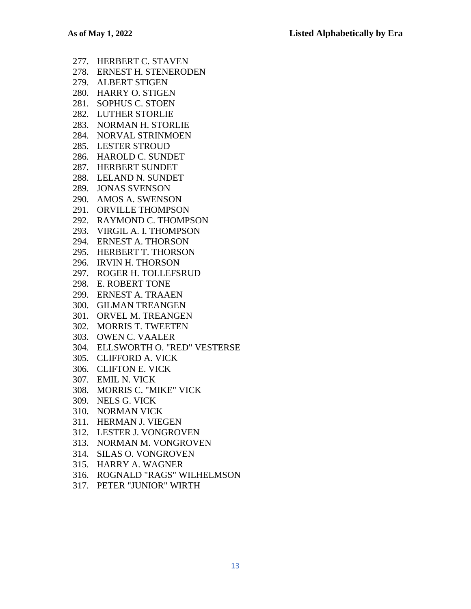| 277. | HERBERT C. STAVEN             |
|------|-------------------------------|
|      | 278. ERNEST H. STENERODEN     |
|      | 279. ALBERT STIGEN            |
|      | 280. HARRY O. STIGEN          |
|      | 281. SOPHUS C. STOEN          |
| 282. | <b>LUTHER STORLIE</b>         |
| 283. | <b>NORMAN H. STORLIE</b>      |
|      | 284. NORVAL STRINMOEN         |
|      | 285. LESTER STROUD            |
|      | 286. HAROLD C. SUNDET         |
| 287. | <b>HERBERT SUNDET</b>         |
| 288. | <b>LELAND N. SUNDET</b>       |
| 289. | <b>JONAS SVENSON</b>          |
|      | 290. AMOS A. SWENSON          |
|      | 291. ORVILLE THOMPSON         |
|      | 292. RAYMOND C. THOMPSON      |
|      | 293. VIRGIL A. I. THOMPSON    |
| 294. | <b>ERNEST A. THORSON</b>      |
| 295. | HERBERT T. THORSON            |
|      | 296. IRVIN H. THORSON         |
|      | 297. ROGER H. TOLLEFSRUD      |
|      | 298. E. ROBERT TONE           |
|      | 299. ERNEST A. TRAAEN         |
|      | 300. GILMAN TREANGEN          |
|      | 301. ORVEL M. TREANGEN        |
| 302. | <b>MORRIS T. TWEETEN</b>      |
|      | 303. OWEN C. VAALER           |
| 304. | ELLSWORTH O. "RED" VESTERSE   |
|      | 305. CLIFFORD A. VICK         |
|      | 306. CLIFTON E. VICK          |
|      | 307. EMIL N. VICK             |
|      | 308. MORRIS C. "MIKE" VICK    |
|      | 309. NELS G. VICK             |
|      | 310. NORMAN VICK              |
|      | 311. HERMAN J. VIEGEN         |
|      | 312. LESTER J. VONGROVEN      |
|      | 313. NORMAN M. VONGROVEN      |
|      | 314. SILAS O. VONGROVEN       |
|      | 315. HARRY A. WAGNER          |
|      | 216 DOCNALD "DACS" WILLELMSON |

- 316. ROGNALD "RAGS" WILHELMSON
- 317. PETER "JUNIOR" WIRTH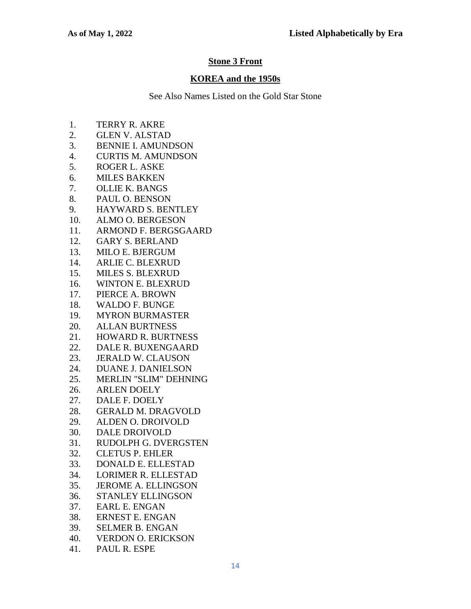# **Stone 3 Front**

### **KOREA and the 1950s**

- 1. TERRY R. AKRE
- 2. GLEN V. ALSTAD
- 3. BENNIE I. AMUNDSON
- 4. CURTIS M. AMUNDSON
- 5. ROGER L. ASKE
- 6. MILES BAKKEN
- 7. OLLIE K. BANGS
- 8. PAUL O. BENSON
- 9. HAYWARD S. BENTLEY
- 10. ALMO O. BERGESON
- 11. ARMOND F. BERGSGAARD
- 12. GARY S. BERLAND
- 13. MILO E. BJERGUM
- 14. ARLIE C. BLEXRUD
- 15. MILES S. BLEXRUD
- 16. WINTON E. BLEXRUD
- 17. PIERCE A. BROWN
- 18. WALDO F. BUNGE
- 19. MYRON BURMASTER
- 20. ALLAN BURTNESS
- 21. HOWARD R. BURTNESS
- 22. DALE R. BUXENGAARD
- 23. JERALD W. CLAUSON
- 24. DUANE J. DANIELSON
- 25. MERLIN "SLIM" DEHNING
- 26. ARLEN DOELY
- 27. DALE F. DOELY
- 28. GERALD M. DRAGVOLD
- 29. ALDEN O. DROIVOLD
- 30. DALE DROIVOLD
- 31. RUDOLPH G. DVERGSTEN
- 32. CLETUS P. EHLER
- 33. DONALD E. ELLESTAD
- 34. LORIMER R. ELLESTAD
- 35. JEROME A. ELLINGSON
- 36. STANLEY ELLINGSON
- 37. EARL E. ENGAN
- 38. ERNEST E. ENGAN
- 39. SELMER B. ENGAN
- 40. VERDON O. ERICKSON
- 41. PAUL R. ESPE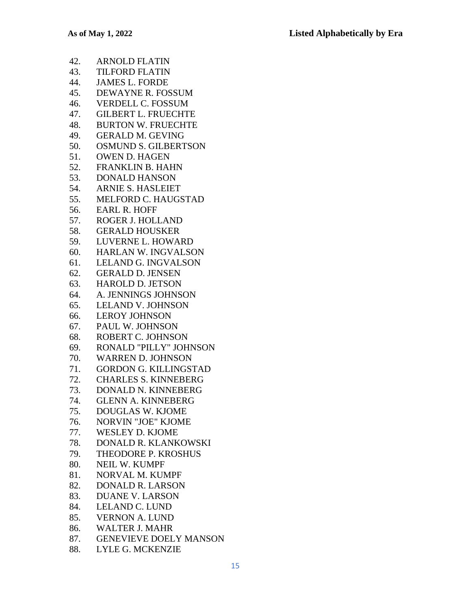|     | 42. ARNOLD FLATIN           |
|-----|-----------------------------|
|     | 43. TILFORD FLATIN          |
| 44. | <b>JAMES L. FORDE</b>       |
|     | 45. DEWAYNE R. FOSSUM       |
| 46. | <b>VERDELL C. FOSSUM</b>    |
| 47. | <b>GILBERT L. FRUECHTE</b>  |
|     | 48. BURTON W. FRUECHTE      |
|     | 49. GERALD M. GEVING        |
| 50. | <b>OSMUND S. GILBERTSON</b> |
|     | 51. OWEN D. HAGEN           |
|     | 52. FRANKLIN B. HAHN        |
| 53. | <b>DONALD HANSON</b>        |
|     | 54. ARNIE S. HASLEIET       |
|     | 55. MELFORD C. HAUGSTAD     |
|     | 56. EARL R. HOFF            |
| 57. | <b>ROGER J. HOLLAND</b>     |
|     | 58. GERALD HOUSKER          |
|     | 59. LUVERNE L. HOWARD       |
|     | 60. HARLAN W. INGVALSON     |
|     | 61. LELAND G. INGVALSON     |
|     | 62. GERALD D. JENSEN        |
|     | 63. HAROLD D. JETSON        |
|     | 64. A. JENNINGS JOHNSON     |
|     | 65. LELAND V. JOHNSON       |
| 66. | <b>LEROY JOHNSON</b>        |
| 67. | PAUL W. JOHNSON             |
|     | 68. ROBERT C. JOHNSON       |
|     | 69. RONALD "PILLY" JOHNSON  |
| 70. | <b>WARREN D. JOHNSON</b>    |
|     | 71. GORDON G. KILLINGSTAD   |
|     | 72. CHARLES S. KINNEBERG    |
|     | 73. DONALD N. KINNEBERG     |
| 74. | <b>GLENN A. KINNEBERG</b>   |
| 75. | <b>DOUGLAS W. KJOME</b>     |
| 76. | <b>NORVIN "JOE" KJOME</b>   |
| 77. | <b>WESLEY D. KJOME</b>      |
| 78. | DONALD R. KLANKOWSKI        |
| 79. | THEODORE P. KROSHUS         |
| 80. | NEIL W. KUMPF               |
| 81. | NORVAL M. KUMPF             |
| 82. | <b>DONALD R. LARSON</b>     |
| 83. | <b>DUANE V. LARSON</b>      |
| 84. | <b>LELAND C. LUND</b>       |
| 85. | <b>VERNON A. LUND</b>       |
| 86. | <b>WALTER J. MAHR</b>       |

- 87. GENEVIEVE DOELY MANSON
- 88. LYLE G. MCKENZIE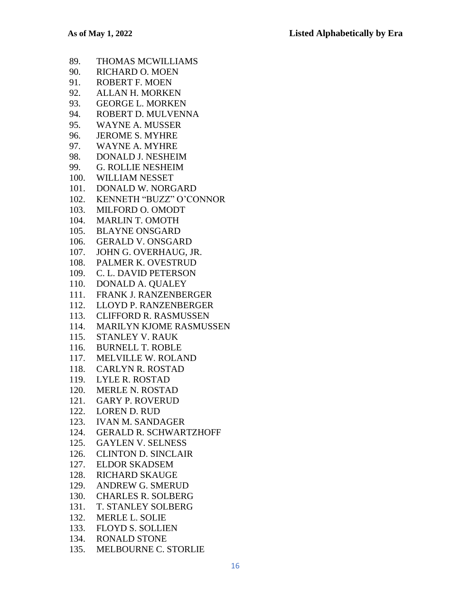- 89. THOMAS MCWILLIAMS 90. RICHARD O. MOEN 91. ROBERT F. MOEN 92. ALLAN H. MORKEN 93. GEORGE L. MORKEN 94. ROBERT D. MULVENNA 95. WAYNE A. MUSSER 96. JEROME S. MYHRE 97. WAYNE A. MYHRE 98. DONALD J. NESHEIM 99. G. ROLLIE NESHEIM 100. WILLIAM NESSET 101. DONALD W. NORGARD 102. KENNETH "BUZZ" O'CONNOR 103. MILFORD O. OMODT 104. MARLIN T. OMOTH 105. BLAYNE ONSGARD 106. GERALD V. ONSGARD 107. JOHN G. OVERHAUG, JR. 108. PALMER K. OVESTRUD 109. C. L. DAVID PETERSON 110. DONALD A. QUALEY 111. FRANK J. RANZENBERGER 112. LLOYD P. RANZENBERGER 113. CLIFFORD R. RASMUSSEN 114. MARILYN KJOME RASMUSSEN 115. STANLEY V. RAUK 116. BURNELL T. ROBLE 117. MELVILLE W. ROLAND 118. CARLYN R. ROSTAD 119. LYLE R. ROSTAD 120. MERLE N. ROSTAD 121. GARY P. ROVERUD 122. LOREN D. RUD 123. IVAN M. SANDAGER 124. GERALD R. SCHWARTZHOFF 125. GAYLEN V. SELNESS 126. CLINTON D. SINCLAIR 127. ELDOR SKADSEM 128. RICHARD SKAUGE 129. ANDREW G. SMERUD 130. CHARLES R. SOLBERG 131. T. STANLEY SOLBERG 132. MERLE L. SOLIE 133. FLOYD S. SOLLIEN
- 134. RONALD STONE
- 135. MELBOURNE C. STORLIE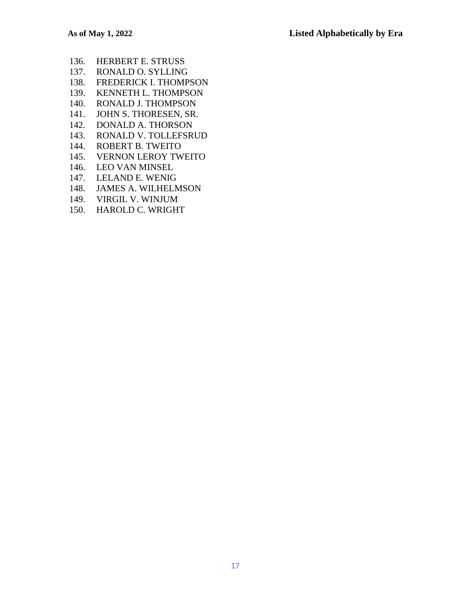- 136. HERBERT E. STRUSS
- 137. RONALD O. SYLLING
- 138. FREDERICK I. THOMPSON
- 139. KENNETH L. THOMPSON
- 140. RONALD J. THOMPSON
- 141. JOHN S. THORESEN, SR.
- 142. DONALD A. THORSON
- 143. RONALD V. TOLLEFSRUD<br>144. ROBERT B. TWEITO
- ROBERT B. TWEITO
- 145. VERNON LEROY TWEITO
- 146. LEO VAN MINSEL
- 147. LELAND E. WENIG
- 148. JAMES A. WILHELMSON
- 149. VIRGIL V. WINJUM
- 150. HAROLD C. WRIGHT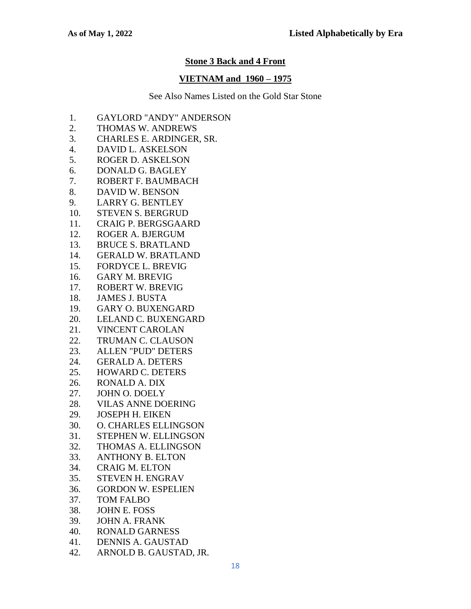### **Stone 3 Back and 4 Front**

### **VIETNAM and 1960 – 1975**

- 1. GAYLORD "ANDY" ANDERSON
- 2. THOMAS W. ANDREWS
- 3. CHARLES E. ARDINGER, SR.
- 4. DAVID L. ASKELSON
- 5. ROGER D. ASKELSON
- 6. DONALD G. BAGLEY
- 7. ROBERT F. BAUMBACH
- 8. DAVID W. BENSON
- 9. LARRY G. BENTLEY
- 10. STEVEN S. BERGRUD
- 11. CRAIG P. BERGSGAARD
- 12. ROGER A. BJERGUM
- 13. BRUCE S. BRATLAND
- 14. GERALD W. BRATLAND
- 15. FORDYCE L. BREVIG
- 16. GARY M. BREVIG
- 17. ROBERT W. BREVIG
- 18. JAMES J. BUSTA
- 19. GARY O. BUXENGARD
- 20. LELAND C. BUXENGARD
- 21. VINCENT CAROLAN
- 22. TRUMAN C. CLAUSON
- 23. ALLEN "PUD" DETERS
- 24. GERALD A. DETERS
- 25. HOWARD C. DETERS
- 26. RONALD A. DIX
- 27. JOHN O. DOELY
- 28. VILAS ANNE DOERING
- 29. JOSEPH H. EIKEN
- 30. O. CHARLES ELLINGSON
- 31. STEPHEN W. ELLINGSON
- 32. THOMAS A. ELLINGSON
- 33. ANTHONY B. ELTON
- 34. CRAIG M. ELTON
- 35. STEVEN H. ENGRAV
- 36. GORDON W. ESPELIEN
- 37. TOM FALBO
- 38. JOHN E. FOSS
- 39. JOHN A. FRANK
- 40. RONALD GARNESS
- 41. DENNIS A. GAUSTAD
- 42. ARNOLD B. GAUSTAD, JR.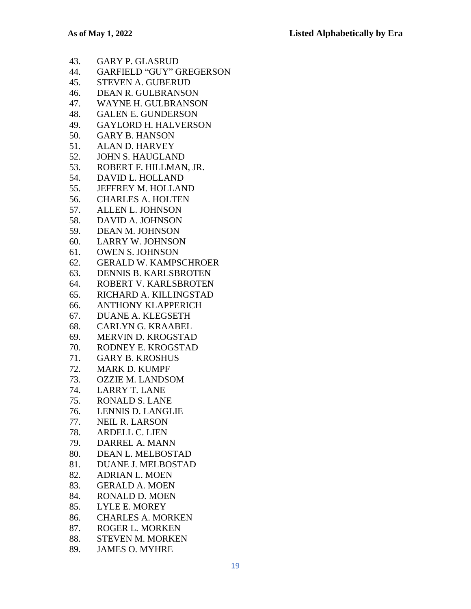- 43. GARY P. GLASRUD
- 44. GARFIELD "GUY" GREGERSON
- 45. STEVEN A. GUBERUD
- 46. DEAN R. GULBRANSON
- 47. WAYNE H. GULBRANSON
- 48. GALEN E. GUNDERSON
- 49. GAYLORD H. HALVERSON
- 50. GARY B. HANSON
- 51. ALAN D. HARVEY
- 52. JOHN S. HAUGLAND
- 53. ROBERT F. HILLMAN, JR.
- 54. DAVID L. HOLLAND
- 55. JEFFREY M. HOLLAND
- 56. CHARLES A. HOLTEN
- 57. ALLEN L. JOHNSON
- 58. DAVID A. JOHNSON
- 59. DEAN M. JOHNSON
- 60. LARRY W. JOHNSON
- 61. OWEN S. JOHNSON
- 62. GERALD W. KAMPSCHROER
- 63. DENNIS B. KARLSBROTEN
- 64. ROBERT V. KARLSBROTEN
- 65. RICHARD A. KILLINGSTAD
- 66. ANTHONY KLAPPERICH
- 67. DUANE A. KLEGSETH
- 68. CARLYN G. KRAABEL
- 69. MERVIN D. KROGSTAD
- 70. RODNEY E. KROGSTAD
- 71. GARY B. KROSHUS
- 72. MARK D. KUMPF
- 73. OZZIE M. LANDSOM
- 74. LARRY T. LANE
- 75. RONALD S. LANE
- 76. LENNIS D. LANGLIE
- 77. NEIL R. LARSON
- 78. ARDELL C. LIEN
- 79. DARREL A. MANN
- 80. DEAN L. MELBOSTAD
- 81. DUANE J. MELBOSTAD
- 82. ADRIAN L. MOEN
- 83. GERALD A. MOEN
- 84. RONALD D. MOEN
- 85. LYLE E. MOREY
- 86. CHARLES A. MORKEN
- 87. ROGER L. MORKEN
- 88. STEVEN M. MORKEN
- 89. JAMES O. MYHRE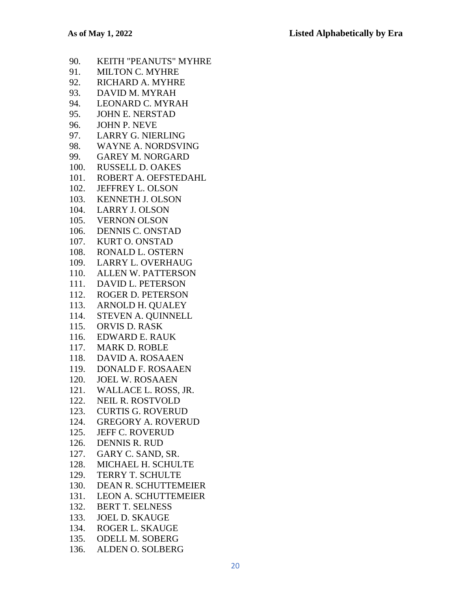- 90. KEITH "PEANUTS" MYHRE 91. MILTON C. MYHRE 92. RICHARD A. MYHRE 93. DAVID M. MYRAH 94. LEONARD C. MYRAH 95. JOHN E. NERSTAD 96. JOHN P. NEVE 97. LARRY G. NIERLING 98. WAYNE A. NORDSVING 99. GAREY M. NORGARD 100. RUSSELL D. OAKES 101. ROBERT A. OEFSTEDAHL 102. JEFFREY L. OLSON 103. KENNETH J. OLSON 104. LARRY J. OLSON 105. VERNON OLSON 106. DENNIS C. ONSTAD 107. KURT O. ONSTAD 108. RONALD L. OSTERN 109. LARRY L. OVERHAUG 110. ALLEN W. PATTERSON 111. DAVID L. PETERSON 112. ROGER D. PETERSON 113. ARNOLD H. QUALEY 114. STEVEN A. QUINNELL 115. ORVIS D. RASK 116. EDWARD E. RAUK 117. MARK D. ROBLE 118. DAVID A. ROSAAEN 119. DONALD F. ROSAAEN 120. JOEL W. ROSAAEN 121. WALLACE L. ROSS, JR. 122. NEIL R. ROSTVOLD 123. CURTIS G. ROVERUD 124. GREGORY A. ROVERUD 125. JEFF C. ROVERUD 126. DENNIS R. RUD 127. GARY C. SAND, SR. 128. MICHAEL H. SCHULTE 129. TERRY T. SCHULTE 130. DEAN R. SCHUTTEMEIER 131. LEON A. SCHUTTEMEIER 132. BERT T. SELNESS 133. JOEL D. SKAUGE 134. ROGER L. SKAUGE 135. ODELL M. SOBERG
- 136. ALDEN O. SOLBERG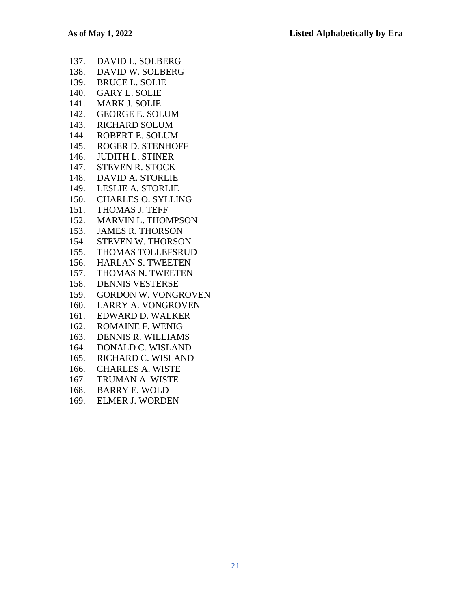| 137. | DAVID L. SOLBERG           |
|------|----------------------------|
| 138. | DAVID W. SOLBERG           |
| 139. | <b>BRUCE L. SOLIE</b>      |
| 140. | <b>GARY L. SOLIE</b>       |
| 141. | <b>MARK J. SOLIE</b>       |
| 142. | <b>GEORGE E. SOLUM</b>     |
| 143. | <b>RICHARD SOLUM</b>       |
| 144. | ROBERT E. SOLUM            |
| 145. | <b>ROGER D. STENHOFF</b>   |
| 146. | <b>JUDITH L. STINER</b>    |
| 147. | <b>STEVEN R. STOCK</b>     |
| 148. | <b>DAVID A. STORLIE</b>    |
| 149. | <b>LESLIE A. STORLIE</b>   |
| 150. | <b>CHARLES O. SYLLING</b>  |
| 151. | <b>THOMAS J. TEFF</b>      |
| 152. | <b>MARVIN L. THOMPSON</b>  |
| 153. | <b>JAMES R. THORSON</b>    |
| 154. | STEVEN W. THORSON          |
| 155. | <b>THOMAS TOLLEFSRUD</b>   |
| 156. | <b>HARLAN S. TWEETEN</b>   |
| 157. | THOMAS N. TWEETEN          |
| 158. | <b>DENNIS VESTERSE</b>     |
| 159. | <b>GORDON W. VONGROVEN</b> |
| 160. | <b>LARRY A. VONGROVEN</b>  |
| 161. | <b>EDWARD D. WALKER</b>    |
| 162. | ROMAINE F. WENIG           |
| 163. | <b>DENNIS R. WILLIAMS</b>  |
| 164. | DONALD C. WISLAND          |
| 165. | RICHARD C. WISLAND         |
| 166. | <b>CHARLES A. WISTE</b>    |
| 167. | TRUMAN A. WISTE            |
| 168. | <b>BARRY E. WOLD</b>       |
| 169. | <b>ELMER J. WORDEN</b>     |
|      |                            |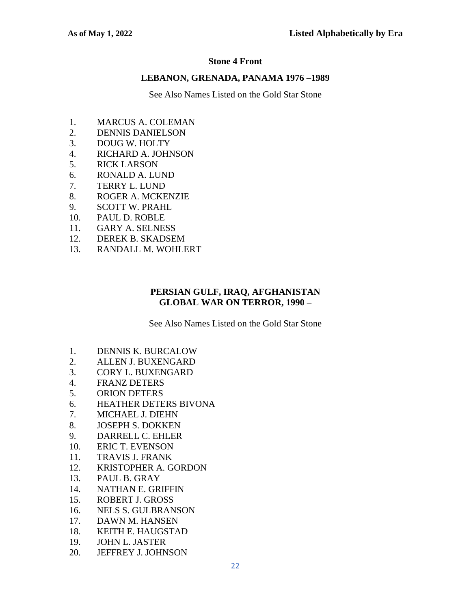#### **Stone 4 Front**

#### **LEBANON, GRENADA, PANAMA 1976 –1989**

See Also Names Listed on the Gold Star Stone

- 1. MARCUS A. COLEMAN
- 2. DENNIS DANIELSON
- 3. DOUG W. HOLTY
- 4. RICHARD A. JOHNSON
- 5. RICK LARSON
- 6. RONALD A. LUND
- 7. TERRY L. LUND
- 8. ROGER A. MCKENZIE
- 9. SCOTT W. PRAHL
- 10. PAUL D. ROBLE
- 11. GARY A. SELNESS
- 12. DEREK B. SKADSEM
- 13. RANDALL M. WOHLERT

#### **PERSIAN GULF, IRAQ, AFGHANISTAN GLOBAL WAR ON TERROR, 1990 –**

- 1. DENNIS K. BURCALOW
- 2. ALLEN J. BUXENGARD
- 3. CORY L. BUXENGARD
- 4. FRANZ DETERS
- 5. ORION DETERS
- 6. HEATHER DETERS BIVONA
- 7. MICHAEL J. DIEHN
- 8. JOSEPH S. DOKKEN
- 9. DARRELL C. EHLER
- 10. ERIC T. EVENSON
- 11. TRAVIS J. FRANK
- 12. KRISTOPHER A. GORDON
- 13. PAUL B. GRAY
- 14. NATHAN E. GRIFFIN
- 15. ROBERT J. GROSS
- 16. NELS S. GULBRANSON
- 17. DAWN M. HANSEN
- 18. KEITH E. HAUGSTAD
- 19. JOHN L. JASTER
- 20. JEFFREY J. JOHNSON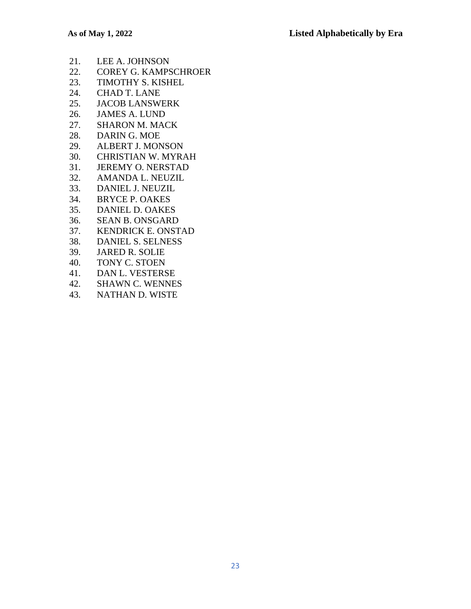- 21. LEE A. JOHNSON
- 22. COREY G. KAMPSCHROER
- 23. TIMOTHY S. KISHEL
- 24. CHAD T. LANE
- 25. JACOB LANSWERK
- 26. JAMES A. LUND
- 27. SHARON M. MACK
- 28. DARIN G. MOE
- 29. ALBERT J. MONSON
- 30. CHRISTIAN W. MYRAH
- 31. JEREMY O. NERSTAD
- 32. AMANDA L. NEUZIL
- 33. DANIEL J. NEUZIL
- 34. BRYCE P. OAKES
- 35. DANIEL D. OAKES
- 36. SEAN B. ONSGARD
- 37. KENDRICK E. ONSTAD
- 38. DANIEL S. SELNESS
- 39. JARED R. SOLIE
- 40. TONY C. STOEN
- 41. DAN L. VESTERSE
- 42. SHAWN C. WENNES
- 43. NATHAN D. WISTE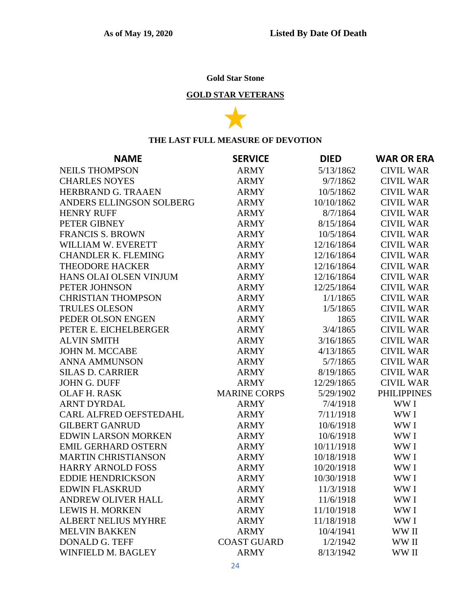# **Gold Star Stone**

# **GOLD STAR VETERANS**



### **THE LAST FULL MEASURE OF DEVOTION**

| <b>NAME</b>                | <b>SERVICE</b>      | <b>DIED</b> | <b>WAR OR ERA</b>  |
|----------------------------|---------------------|-------------|--------------------|
| <b>NEILS THOMPSON</b>      | <b>ARMY</b>         | 5/13/1862   | <b>CIVIL WAR</b>   |
| <b>CHARLES NOYES</b>       | <b>ARMY</b>         | 9/7/1862    | <b>CIVIL WAR</b>   |
| HERBRAND G. TRAAEN         | <b>ARMY</b>         | 10/5/1862   | <b>CIVIL WAR</b>   |
| ANDERS ELLINGSON SOLBERG   | <b>ARMY</b>         | 10/10/1862  | <b>CIVIL WAR</b>   |
| <b>HENRY RUFF</b>          | <b>ARMY</b>         | 8/7/1864    | <b>CIVIL WAR</b>   |
| PETER GIBNEY               | <b>ARMY</b>         | 8/15/1864   | <b>CIVIL WAR</b>   |
| <b>FRANCIS S. BROWN</b>    | <b>ARMY</b>         | 10/5/1864   | <b>CIVIL WAR</b>   |
| WILLIAM W. EVERETT         | <b>ARMY</b>         | 12/16/1864  | <b>CIVIL WAR</b>   |
| <b>CHANDLER K. FLEMING</b> | <b>ARMY</b>         | 12/16/1864  | <b>CIVIL WAR</b>   |
| <b>THEODORE HACKER</b>     | <b>ARMY</b>         | 12/16/1864  | <b>CIVIL WAR</b>   |
| HANS OLAI OLSEN VINJUM     | <b>ARMY</b>         | 12/16/1864  | <b>CIVIL WAR</b>   |
| PETER JOHNSON              | <b>ARMY</b>         | 12/25/1864  | <b>CIVIL WAR</b>   |
| <b>CHRISTIAN THOMPSON</b>  | <b>ARMY</b>         | 1/1/1865    | <b>CIVIL WAR</b>   |
| <b>TRULES OLESON</b>       | <b>ARMY</b>         | 1/5/1865    | <b>CIVIL WAR</b>   |
| PEDER OLSON ENGEN          | <b>ARMY</b>         | 1865        | <b>CIVIL WAR</b>   |
| PETER E. EICHELBERGER      | <b>ARMY</b>         | 3/4/1865    | <b>CIVIL WAR</b>   |
| <b>ALVIN SMITH</b>         | <b>ARMY</b>         | 3/16/1865   | <b>CIVIL WAR</b>   |
| <b>JOHN M. MCCABE</b>      | <b>ARMY</b>         | 4/13/1865   | <b>CIVIL WAR</b>   |
| <b>ANNA AMMUNSON</b>       | <b>ARMY</b>         | 5/7/1865    | <b>CIVIL WAR</b>   |
| <b>SILAS D. CARRIER</b>    | <b>ARMY</b>         | 8/19/1865   | <b>CIVIL WAR</b>   |
| <b>JOHN G. DUFF</b>        | <b>ARMY</b>         | 12/29/1865  | <b>CIVIL WAR</b>   |
| OLAF H. RASK               | <b>MARINE CORPS</b> | 5/29/1902   | <b>PHILIPPINES</b> |
| <b>ARNT DYRDAL</b>         | <b>ARMY</b>         | 7/4/1918    | WW I               |
| CARL ALFRED OEFSTEDAHL     | <b>ARMY</b>         | 7/11/1918   | WW I               |
| <b>GILBERT GANRUD</b>      | <b>ARMY</b>         | 10/6/1918   | WW I               |
| <b>EDWIN LARSON MORKEN</b> | <b>ARMY</b>         | 10/6/1918   | WW I               |
| <b>EMIL GERHARD OSTERN</b> | <b>ARMY</b>         | 10/11/1918  | WW I               |
| <b>MARTIN CHRISTIANSON</b> | <b>ARMY</b>         | 10/18/1918  | WW I               |
| <b>HARRY ARNOLD FOSS</b>   | <b>ARMY</b>         | 10/20/1918  | WW I               |
| <b>EDDIE HENDRICKSON</b>   | <b>ARMY</b>         | 10/30/1918  | WW I               |
| <b>EDWIN FLASKRUD</b>      | <b>ARMY</b>         | 11/3/1918   | WW I               |
| ANDREW OLIVER HALL         | ARMY                | 11/6/1918   | WW I               |
| <b>LEWIS H. MORKEN</b>     | <b>ARMY</b>         | 11/10/1918  | WW I               |
| <b>ALBERT NELIUS MYHRE</b> | <b>ARMY</b>         | 11/18/1918  | WW I               |
| <b>MELVIN BAKKEN</b>       | <b>ARMY</b>         | 10/4/1941   | WW II              |
| DONALD G. TEFF             | <b>COAST GUARD</b>  | 1/2/1942    | WW II              |
| WINFIELD M. BAGLEY         | <b>ARMY</b>         | 8/13/1942   | WW II              |